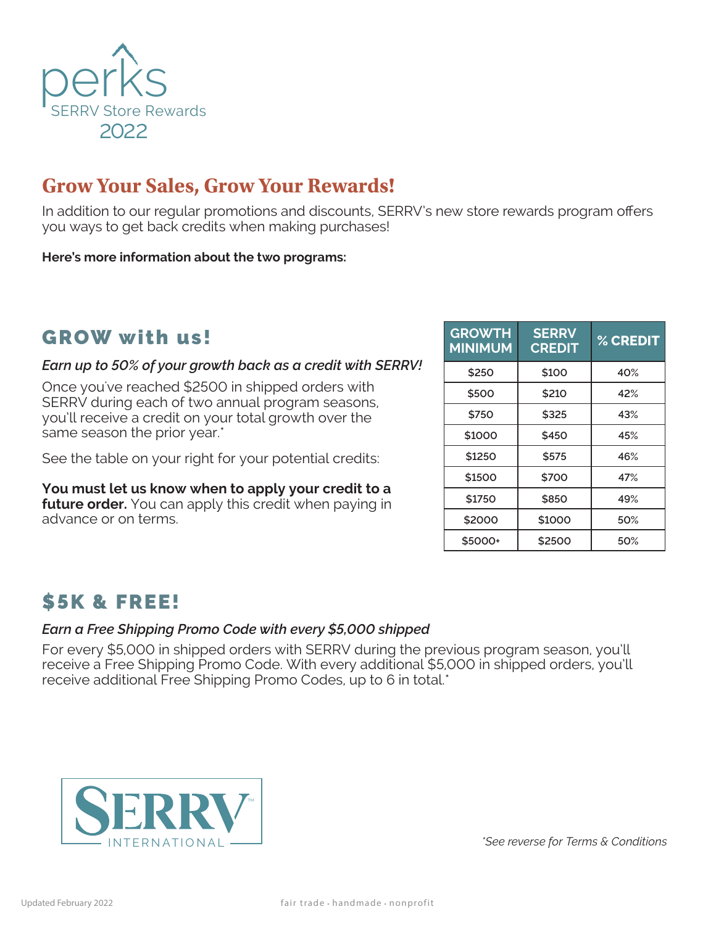

# **Grow Your Sales, Grow Your Rewards!**

In addition to our regular promotions and discounts, SERRV's new store rewards program offers you ways to get back credits when making purchases!

**Here's more information about the two programs:** 

### GROW with us!

#### *Earn up to 50% of your growth back as a credit with SERRV!*

Once you've reached \$2500 in shipped orders with SERRV during each of two annual program seasons, you'll receive a credit on your total growth over the same season the prior year.\*

See the table on your right for your potential credits:

**You must let us know when to apply your credit to a future order.** You can apply this credit when paying in advance or on terms.

| <b>GROWTH</b><br><b>MINIMUM</b> | <b>SERRV</b><br><b>CREDIT</b> | % CREDIT |
|---------------------------------|-------------------------------|----------|
| \$250                           | \$100                         | 40%      |
| \$500                           | \$210                         | 42%      |
| \$750                           | \$325                         | 43%      |
| \$1000                          | \$450                         | 45%      |
| \$1250                          | \$575                         | 46%      |
| \$1500                          | \$700                         | 47%      |
| \$1750                          | \$850                         | 49%      |
| \$2000                          | \$1000                        | 50%      |
| \$5000+                         | \$2500                        | 50%      |

# \$5K & FREE!

#### *Earn a Free Shipping Promo Code with every \$5,000 shipped*

For every \$5,000 in shipped orders with SERRV during the previous program season, you'll receive a Free Shipping Promo Code. With every additional \$5,000 in shipped orders, you'll receive additional Free Shipping Promo Codes, up to 6 in total.\*



*\*See reverse for Terms & Conditions*